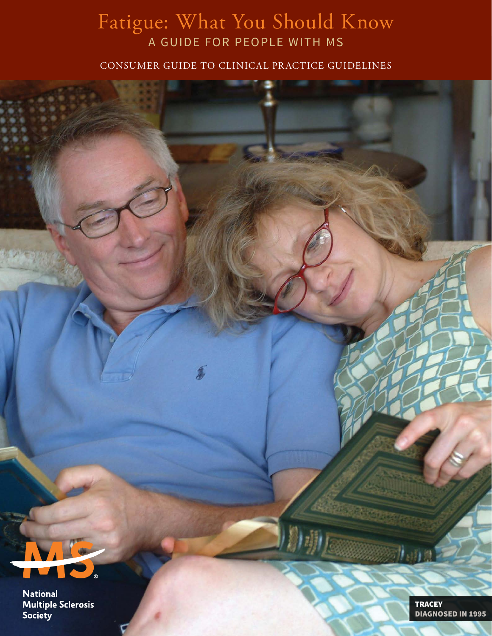## Fatigue: What You Should Know A GUIDE FOR PEOPLE WITH MS

CONSUMER GUIDE TO CLINICAL PRACTICE GUIDELINES



**National Multiple Sclerosis** Society

**TRACEY** DIAGNOSED IN 1995

 $\eta_{sh2}$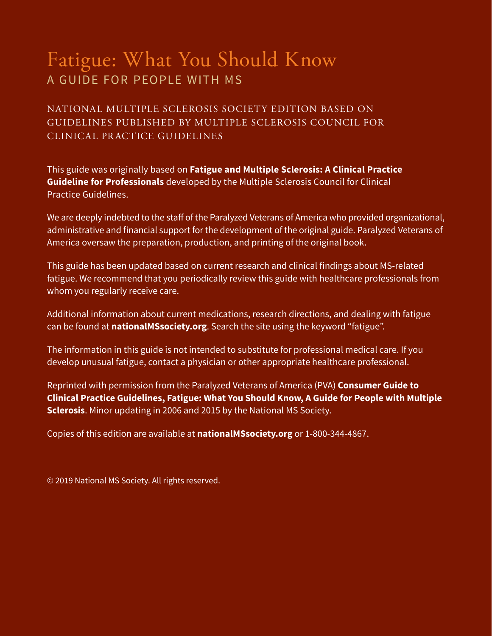## Fatigue: What You Should Know A GUIDE FOR PEOPLE WITH MS

NATIONAL MULTIPLE SCLEROSIS SOCIETY EDITION BASED ON GUIDELINES PUBLISHED BY MULTIPLE SCLEROSIS COUNCIL FOR CLINICAL PRACTICE GUIDELINES

This guide was originally based on **Fatigue and Multiple Sclerosis: A Clinical Practice Guideline for Professionals** developed by the Multiple Sclerosis Council for Clinical Practice Guidelines.

We are deeply indebted to the staff of the Paralyzed Veterans of America who provided organizational, administrative and financial support for the development of the original guide. Paralyzed Veterans of America oversaw the preparation, production, and printing of the original book.

This guide has been updated based on current research and clinical findings about MS-related fatigue. We recommend that you periodically review this guide with healthcare professionals from whom you regularly receive care.

Additional information about current medications, research directions, and dealing with fatigue can be found at **nationalMSsociety.org**. Search the site using the keyword "fatigue".

The information in this guide is not intended to substitute for professional medical care. If you develop unusual fatigue, contact a physician or other appropriate healthcare professional.

Reprinted with permission from the Paralyzed Veterans of America (PVA) **Consumer Guide to Clinical Practice Guidelines, Fatigue: What You Should Know, A Guide for People with Multiple Sclerosis**. Minor updating in 2006 and 2015 by the National MS Society.

Copies of this edition are available at **nationalMSsociety.org** or 1-800-344-4867.

© 2019 National MS Society. All rights reserved.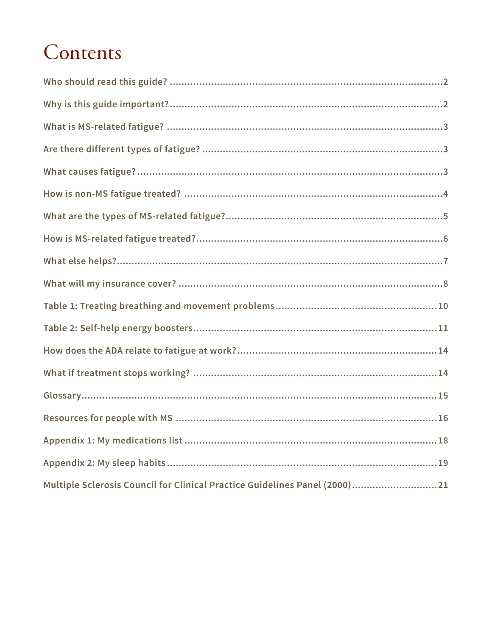# Contents

| Multiple Sclerosis Council for Clinical Practice Guidelines Panel (2000)21 |
|----------------------------------------------------------------------------|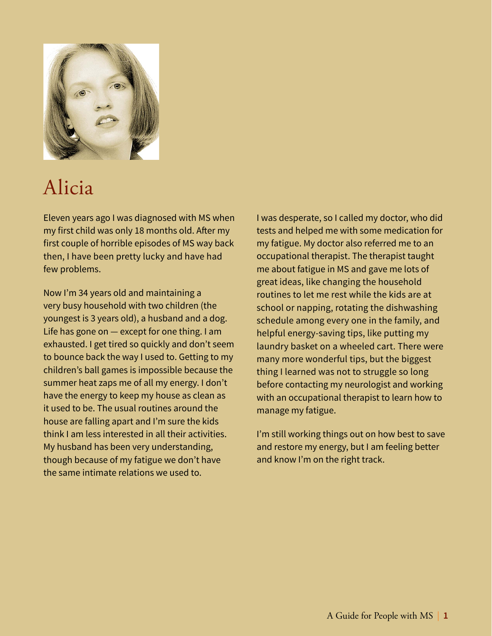

# Alicia

Eleven years ago I was diagnosed with MS when my first child was only 18 months old. After my first couple of horrible episodes of MS way back then, I have been pretty lucky and have had few problems.

Now I'm 34 years old and maintaining a very busy household with two children (the youngest is 3 years old), a husband and a dog. Life has gone on — except for one thing. I am exhausted. I get tired so quickly and don't seem to bounce back the way I used to. Getting to my children's ball games is impossible because the summer heat zaps me of all my energy. I don't have the energy to keep my house as clean as it used to be. The usual routines around the house are falling apart and I'm sure the kids think I am less interested in all their activities. My husband has been very understanding, though because of my fatigue we don't have the same intimate relations we used to.

I was desperate, so I called my doctor, who did tests and helped me with some medication for my fatigue. My doctor also referred me to an occupational therapist. The therapist taught me about fatigue in MS and gave me lots of great ideas, like changing the household routines to let me rest while the kids are at school or napping, rotating the dishwashing schedule among every one in the family, and helpful energy-saving tips, like putting my laundry basket on a wheeled cart. There were many more wonderful tips, but the biggest thing I learned was not to struggle so long before contacting my neurologist and working with an occupational therapist to learn how to manage my fatigue.

I'm still working things out on how best to save and restore my energy, but I am feeling better and know I'm on the right track.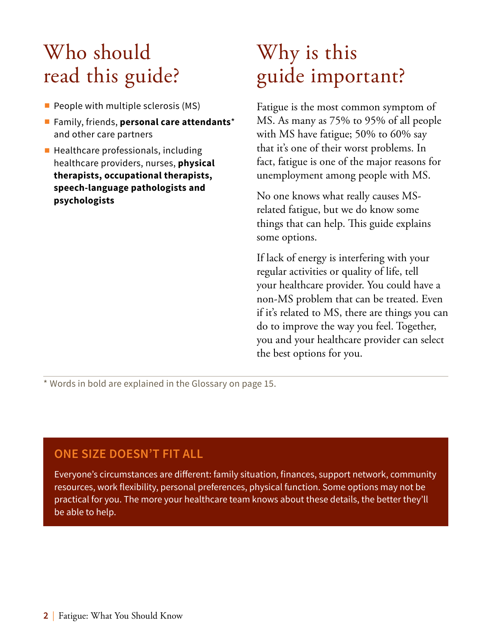# <span id="page-5-0"></span>Who should read this guide?

- People with multiple sclerosis (MS)
- ∫ Family, friends, **personal care attendants**\* and other care partners
- Healthcare professionals, including healthcare providers, nurses, **physical therapists, occupational therapists, speech-language pathologists and psychologists**

# Why is this guide important?

Fatigue is the most common symptom of MS. As many as 75% to 95% of all people with MS have fatigue; 50% to 60% say that it's one of their worst problems. In fact, fatigue is one of the major reasons for unemployment among people with MS.

No one knows what really causes MSrelated fatigue, but we do know some things that can help. This guide explains some options.

If lack of energy is interfering with your regular activities or quality of life, tell your healthcare provider. You could have a non-MS problem that can be treated. Even if it's related to MS, there are things you can do to improve the way you feel. Together, you and your healthcare provider can select the best options for you.

\* Words in bold are explained in the Glossary on page 15.

### **ONE SIZE DOESN'T FIT ALL**

Everyone's circumstances are different: family situation, finances, support network, community resources, work flexibility, personal preferences, physical function. Some options may not be practical for you. The more your healthcare team knows about these details, the better they'll be able to help.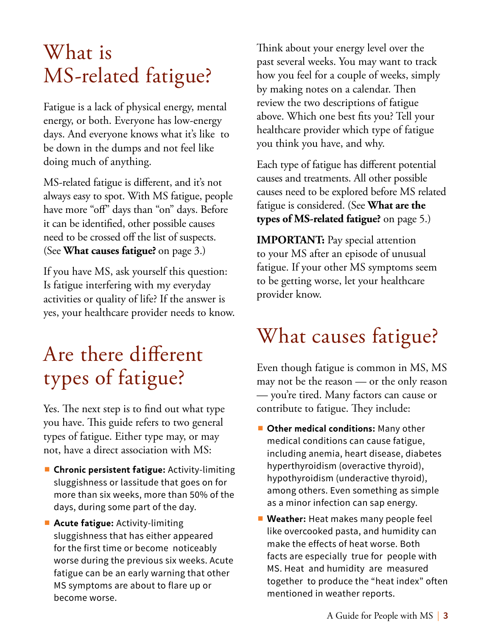# <span id="page-6-0"></span>What is MS-related fatigue?

Fatigue is a lack of physical energy, mental energy, or both. Everyone has low-energy days. And everyone knows what it's like to be down in the dumps and not feel like doing much of anything.

MS-related fatigue is different, and it's not always easy to spot. With MS fatigue, people have more "off" days than "on" days. Before it can be identified, other possible causes need to be crossed off the list of suspects. (See **What causes fatigue?** on [page 3](#page-6-1).)

If you have MS, ask yourself this question: Is fatigue interfering with my everyday activities or quality of life? If the answer is yes, your healthcare provider needs to know.

# Are there different types of fatigue?

Yes. The next step is to find out what type you have. This guide refers to two general types of fatigue. Either type may, or may not, have a direct association with MS:

- **Chronic persistent fatigue:** Activity-limiting sluggishness or lassitude that goes on for more than six weeks, more than 50% of the days, during some part of the day.
- **Acute fatigue:** Activity-limiting sluggishness that has either appeared for the first time or become noticeably worse during the previous six weeks. Acute fatigue can be an early warning that other MS symptoms are about to flare up or become worse.

Think about your energy level over the past several weeks. You may want to track how you feel for a couple of weeks, simply by making notes on a calendar. Then review the two descriptions of fatigue above. Which one best fits you? Tell your healthcare provider which type of fatigue you think you have, and why.

Each type of fatigue has different potential causes and treatments. All other possible causes need to be explored before MS related fatigue is considered. (See **What are the types of MS-related fatigue?** on [page 5.](#page-8-1))

**IMPORTANT:** Pay special attention to your MS after an episode of unusual fatigue. If your other MS symptoms seem to be getting worse, let your healthcare provider know.

# <span id="page-6-1"></span>What causes fatigue?

Even though fatigue is common in MS, MS may not be the reason — or the only reason — you're tired. Many factors can cause or contribute to fatigue. They include:

- Other medical conditions: Many other medical conditions can cause fatigue, including anemia, heart disease, diabetes hyperthyroidism (overactive thyroid), hypothyroidism (underactive thyroid), among others. Even something as simple as a minor infection can sap energy.
- **Weather:** Heat makes many people feel like overcooked pasta, and humidity can make the effects of heat worse. Both facts are especially true for people with MS. Heat and humidity are measured together to produce the "heat index" often mentioned in weather reports.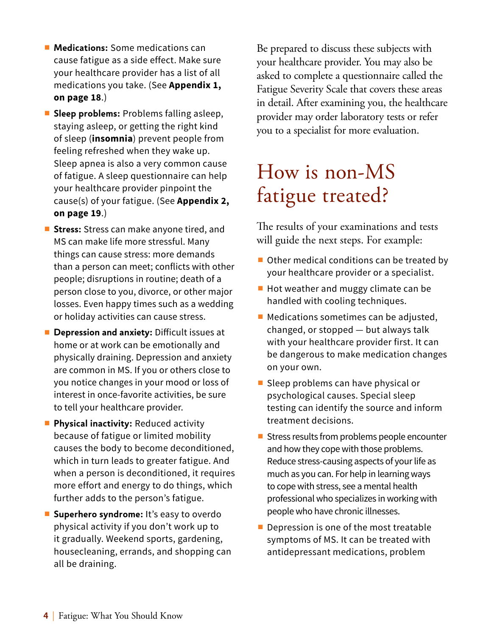- <span id="page-7-0"></span>■ **Medications:** Some medications can cause fatigue as a side effect. Make sure your healthcare provider has a list of all medications you take. (See **Appendix 1, on page 18**.)
- **Sleep problems:** Problems falling asleep, staying asleep, or getting the right kind of sleep (**insomnia**) prevent people from feeling refreshed when they wake up. Sleep apnea is also a very common cause of fatigue. A sleep questionnaire can help your healthcare provider pinpoint the cause(s) of your fatigue. (See **Appendix 2, on page 19**.)
- Stress: Stress can make anyone tired, and MS can make life more stressful. Many things can cause stress: more demands than a person can meet; conflicts with other people; disruptions in routine; death of a person close to you, divorce, or other major losses. Even happy times such as a wedding or holiday activities can cause stress.
- **Depression and anxiety:** Difficult issues at home or at work can be emotionally and physically draining. Depression and anxiety are common in MS. If you or others close to you notice changes in your mood or loss of interest in once-favorite activities, be sure to tell your healthcare provider.
- **Physical inactivity: Reduced activity** because of fatigue or limited mobility causes the body to become deconditioned, which in turn leads to greater fatigue. And when a person is deconditioned, it requires more effort and energy to do things, which further adds to the person's fatigue.
- **Superhero syndrome:** It's easy to overdo physical activity if you don't work up to it gradually. Weekend sports, gardening, housecleaning, errands, and shopping can all be draining.

Be prepared to discuss these subjects with your healthcare provider. You may also be asked to complete a questionnaire called the Fatigue Severity Scale that covers these areas in detail. After examining you, the healthcare provider may order laboratory tests or refer you to a specialist for more evaluation.

# How is non-MS fatigue treated?

The results of your examinations and tests will guide the next steps. For example:

- Other medical conditions can be treated by your healthcare provider or a specialist.
- Hot weather and muggy climate can be handled with cooling techniques.
- Medications sometimes can be adjusted, changed, or stopped — but always talk with your healthcare provider first. It can be dangerous to make medication changes on your own.
- Sleep problems can have physical or psychological causes. Special sleep testing can identify the source and inform treatment decisions.
- Stress results from problems people encounter and how they cope with those problems. Reduce stress-causing aspects of your life as much as you can. For help in learning ways to cope with stress, see a mental health professional who specializes in working with people who have chronic illnesses.
- Depression is one of the most treatable symptoms of MS. It can be treated with antidepressant medications, problem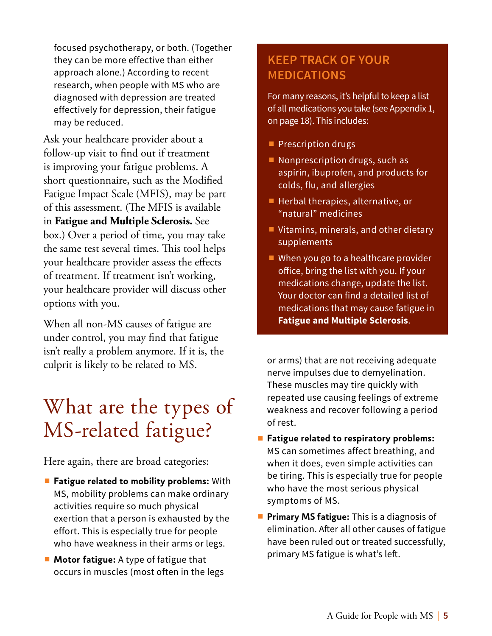<span id="page-8-0"></span>focused psychotherapy, or both. (Together they can be more effective than either approach alone.) According to recent research, when people with MS who are diagnosed with depression are treated effectively for depression, their fatigue may be reduced.

Ask your healthcare provider about a follow-up visit to find out if treatment is improving your fatigue problems. A short questionnaire, such as the Modified Fatigue Impact Scale (MFIS), may be part of this assessment. (The MFIS is available in **Fatigue and Multiple Sclerosis.** See box.) Over a period of time, you may take the same test several times. This tool helps your healthcare provider assess the effects of treatment. If treatment isn't working, your healthcare provider will discuss other options with you.

When all non-MS causes of fatigue are under control, you may find that fatigue isn't really a problem anymore. If it is, the culprit is likely to be related to MS.

# <span id="page-8-1"></span>What are the types of MS-related fatigue?

Here again, there are broad categories:

- **Fatigue related to mobility problems:** With MS, mobility problems can make ordinary activities require so much physical exertion that a person is exhausted by the effort. This is especially true for people who have weakness in their arms or legs.
- **Motor fatigue:** A type of fatigue that occurs in muscles (most often in the legs

## **KEEP TRACK OF YOUR MEDICATIONS**

For many reasons, it's helpful to keep a list of all medications you take (see Appendix 1, on page 18). This includes:

- Prescription drugs
- Nonprescription drugs, such as aspirin, ibuprofen, and products for colds, flu, and allergies
- Herbal therapies, alternative, or "natural" medicines
- Vitamins, minerals, and other dietary supplements
- When you go to a healthcare provider office, bring the list with you. If your medications change, update the list. Your doctor can find a detailed list of medications that may cause fatigue in **Fatigue and Multiple Sclerosis**.

or arms) that are not receiving adequate nerve impulses due to demyelination. These muscles may tire quickly with repeated use causing feelings of extreme weakness and recover following a period of rest.

- ∫ **Fatigue related to respiratory problems:**  MS can sometimes affect breathing, and when it does, even simple activities can be tiring. This is especially true for people who have the most serious physical symptoms of MS.
- **Primary MS fatigue:** This is a diagnosis of elimination. After all other causes of fatigue have been ruled out or treated successfully, primary MS fatigue is what's left.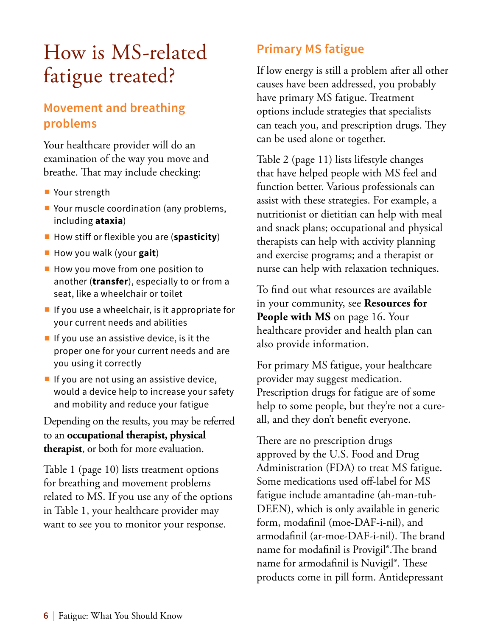# <span id="page-9-0"></span>How is MS-related fatigue treated?

### **Movement and breathing problems**

Your healthcare provider will do an examination of the way you move and breathe. That may include checking:

- Your strength
- Your muscle coordination (any problems, including **ataxia**)
- How stiff or flexible you are (spasticity)
- ∫ How you walk (your **gait**)
- How you move from one position to another (**transfer**), especially to or from a seat, like a wheelchair or toilet
- If you use a wheelchair, is it appropriate for your current needs and abilities
- If you use an assistive device, is it the proper one for your current needs and are you using it correctly
- If you are not using an assistive device, would a device help to increase your safety and mobility and reduce your fatigue

Depending on the results, you may be referred to an **occupational therapist, physical therapist**, or both for more evaluation.

Table 1 ([page 10\)](#page-13-1) lists treatment options for breathing and movement problems related to MS. If you use any of the options in Table 1, your healthcare provider may want to see you to monitor your response.

## **Primary MS fatigue**

If low energy is still a problem after all other causes have been addressed, you probably have primary MS fatigue. Treatment options include strategies that specialists can teach you, and prescription drugs. They can be used alone or together.

Table 2 [\(page 11](#page-14-1)) lists lifestyle changes that have helped people with MS feel and function better. Various professionals can assist with these strategies. For example, a nutritionist or dietitian can help with meal and snack plans; occupational and physical therapists can help with activity planning and exercise programs; and a therapist or nurse can help with relaxation techniques.

To find out what resources are available in your community, see **Resources for People with MS** on [page 16](#page-19-1). Your healthcare provider and health plan can also provide information.

For primary MS fatigue, your healthcare provider may suggest medication. Prescription drugs for fatigue are of some help to some people, but they're not a cureall, and they don't benefit everyone.

There are no prescription drugs approved by the U.S. Food and Drug Administration (FDA) to treat MS fatigue. Some medications used off-label for MS fatigue include amantadine (ah-man-tuh-DEEN), which is only available in generic form, modafinil (moe-DAF-i-nil), and armodafinil (ar-moe-DAF-i-nil). The brand name for modafinil is Provigil®.The brand name for armodafinil is Nuvigil®. These products come in pill form. Antidepressant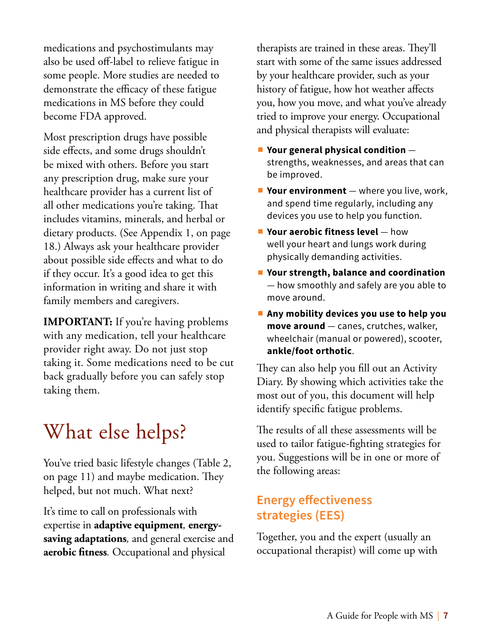<span id="page-10-0"></span>medications and psychostimulants may also be used off-label to relieve fatigue in some people. More studies are needed to demonstrate the efficacy of these fatigue medications in MS before they could become FDA approved.

Most prescription drugs have possible side effects, and some drugs shouldn't be mixed with others. Before you start any prescription drug, make sure your healthcare provider has a current list of all other medications you're taking. That includes vitamins, minerals, and herbal or dietary products. (See Appendix 1, on page 18.) Always ask your healthcare provider about possible side effects and what to do if they occur. It's a good idea to get this information in writing and share it with family members and caregivers.

**IMPORTANT:** If you're having problems with any medication, tell your healthcare provider right away. Do not just stop taking it. Some medications need to be cut back gradually before you can safely stop taking them.

# What else helps?

You've tried basic lifestyle changes (Table 2, on page 11) and maybe medication. They helped, but not much. What next?

It's time to call on professionals with expertise in **adaptive equipment***,* **energysaving adaptations***,* and general exercise and **aerobic fitness***.* Occupational and physical

therapists are trained in these areas. They'll start with some of the same issues addressed by your healthcare provider, such as your history of fatigue, how hot weather affects you, how you move, and what you've already tried to improve your energy. Occupational and physical therapists will evaluate:

- ∫ **Your general physical condition** strengths, weaknesses, and areas that can be improved.
- Your environment where you live, work, and spend time regularly, including any devices you use to help you function.
- Your aerobic fitness level how well your heart and lungs work during physically demanding activities.
- ∫ **Your strength, balance and coordination** — how smoothly and safely are you able to move around.
- ∫ **Any mobility devices you use to help you move around** — canes, crutches, walker, wheelchair (manual or powered), scooter, **ankle/foot orthotic**.

They can also help you fill out an Activity Diary. By showing which activities take the most out of you, this document will help identify specific fatigue problems.

The results of all these assessments will be used to tailor fatigue-fighting strategies for you. Suggestions will be in one or more of the following areas:

### **Energy effectiveness strategies (EES)**

Together, you and the expert (usually an occupational therapist) will come up with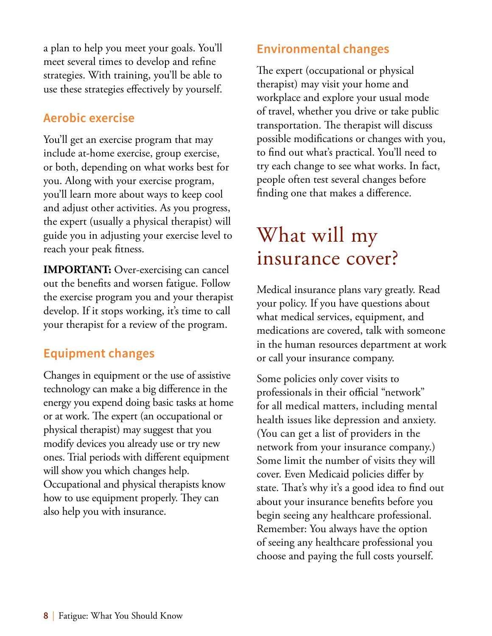<span id="page-11-0"></span>a plan to help you meet your goals. You'll meet several times to develop and refine strategies. With training, you'll be able to use these strategies effectively by yourself.

### **Aerobic exercise**

You'll get an exercise program that may include at-home exercise, group exercise, or both, depending on what works best for you. Along with your exercise program, you'll learn more about ways to keep cool and adjust other activities. As you progress, the expert (usually a physical therapist) will guide you in adjusting your exercise level to reach your peak fitness.

**IMPORTANT:** Over-exercising can cancel out the benefits and worsen fatigue. Follow the exercise program you and your therapist develop. If it stops working, it's time to call your therapist for a review of the program.

### **Equipment changes**

Changes in equipment or the use of assistive technology can make a big difference in the energy you expend doing basic tasks at home or at work. The expert (an occupational or physical therapist) may suggest that you modify devices you already use or try new ones. Trial periods with different equipment will show you which changes help. Occupational and physical therapists know how to use equipment properly. They can also help you with insurance.

### **Environmental changes**

The expert (occupational or physical therapist) may visit your home and workplace and explore your usual mode of travel, whether you drive or take public transportation. The therapist will discuss possible modifications or changes with you, to find out what's practical. You'll need to try each change to see what works. In fact, people often test several changes before finding one that makes a difference.

## What will my insurance cover?

Medical insurance plans vary greatly. Read your policy. If you have questions about what medical services, equipment, and medications are covered, talk with someone in the human resources department at work or call your insurance company.

Some policies only cover visits to professionals in their official "network" for all medical matters, including mental health issues like depression and anxiety. (You can get a list of providers in the network from your insurance company.) Some limit the number of visits they will cover. Even Medicaid policies differ by state. That's why it's a good idea to find out about your insurance benefits before you begin seeing any healthcare professional. Remember: You always have the option of seeing any healthcare professional you choose and paying the full costs yourself.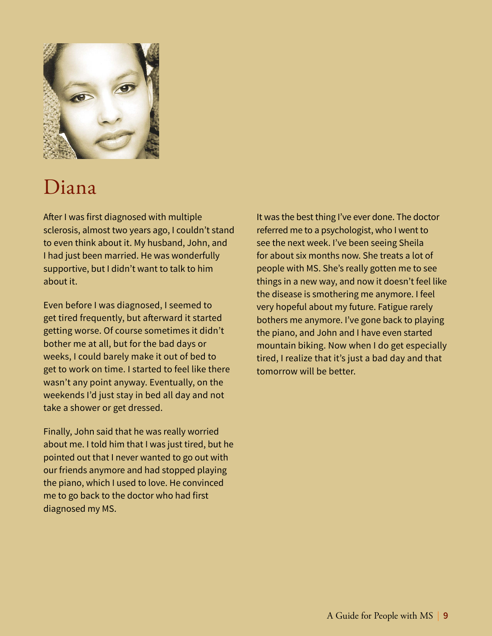

## Diana

After I was first diagnosed with multiple sclerosis, almost two years ago, I couldn't stand to even think about it. My husband, John, and I had just been married. He was wonderfully supportive, but I didn't want to talk to him about it.

Even before I was diagnosed, I seemed to get tired frequently, but afterward it started getting worse. Of course sometimes it didn't bother me at all, but for the bad days or weeks, I could barely make it out of bed to get to work on time. I started to feel like there wasn't any point anyway. Eventually, on the weekends I'd just stay in bed all day and not take a shower or get dressed.

Finally, John said that he was really worried about me. I told him that I was just tired, but he pointed out that I never wanted to go out with our friends anymore and had stopped playing the piano, which I used to love. He convinced me to go back to the doctor who had first diagnosed my MS.

It was the best thing I've ever done. The doctor referred me to a psychologist, who I went to see the next week. I've been seeing Sheila for about six months now. She treats a lot of people with MS. She's really gotten me to see things in a new way, and now it doesn't feel like the disease is smothering me anymore. I feel very hopeful about my future. Fatigue rarely bothers me anymore. I've gone back to playing the piano, and John and I have even started mountain biking. Now when I do get especially tired, I realize that it's just a bad day and that tomorrow will be better.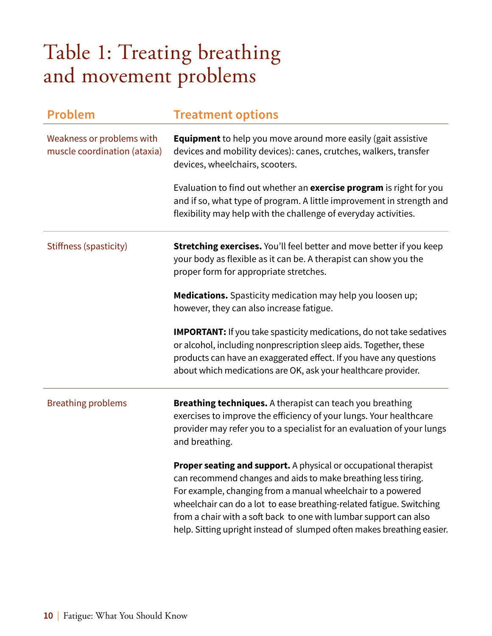# <span id="page-13-1"></span><span id="page-13-0"></span>Table 1: Treating breathing and movement problems

| <b>Problem</b>                                            | <b>Treatment options</b>                                                                                                                                                                                                                                                                                                                                                                                                       |  |
|-----------------------------------------------------------|--------------------------------------------------------------------------------------------------------------------------------------------------------------------------------------------------------------------------------------------------------------------------------------------------------------------------------------------------------------------------------------------------------------------------------|--|
| Weakness or problems with<br>muscle coordination (ataxia) | <b>Equipment</b> to help you move around more easily (gait assistive<br>devices and mobility devices): canes, crutches, walkers, transfer<br>devices, wheelchairs, scooters.                                                                                                                                                                                                                                                   |  |
|                                                           | Evaluation to find out whether an exercise program is right for you<br>and if so, what type of program. A little improvement in strength and<br>flexibility may help with the challenge of everyday activities.                                                                                                                                                                                                                |  |
| Stiffness (spasticity)                                    | <b>Stretching exercises.</b> You'll feel better and move better if you keep<br>your body as flexible as it can be. A therapist can show you the<br>proper form for appropriate stretches.                                                                                                                                                                                                                                      |  |
|                                                           | <b>Medications.</b> Spasticity medication may help you loosen up;<br>however, they can also increase fatigue.                                                                                                                                                                                                                                                                                                                  |  |
|                                                           | <b>IMPORTANT:</b> If you take spasticity medications, do not take sedatives<br>or alcohol, including nonprescription sleep aids. Together, these<br>products can have an exaggerated effect. If you have any questions<br>about which medications are OK, ask your healthcare provider.                                                                                                                                        |  |
| <b>Breathing problems</b>                                 | <b>Breathing techniques.</b> A therapist can teach you breathing<br>exercises to improve the efficiency of your lungs. Your healthcare<br>provider may refer you to a specialist for an evaluation of your lungs<br>and breathing.                                                                                                                                                                                             |  |
|                                                           | <b>Proper seating and support.</b> A physical or occupational therapist<br>can recommend changes and aids to make breathing less tiring.<br>For example, changing from a manual wheelchair to a powered<br>wheelchair can do a lot to ease breathing-related fatigue. Switching<br>from a chair with a soft back to one with lumbar support can also<br>help. Sitting upright instead of slumped often makes breathing easier. |  |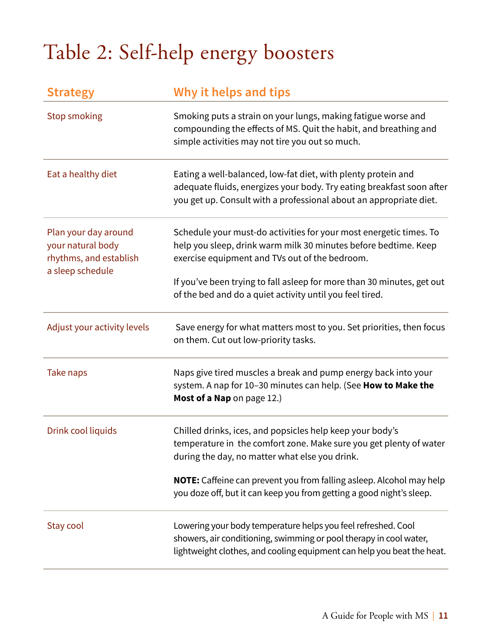# <span id="page-14-1"></span><span id="page-14-0"></span>Table 2: Self-help energy boosters

| <b>Strategy</b>                                                                         | Why it helps and tips                                                                                                                                                                                         |  |
|-----------------------------------------------------------------------------------------|---------------------------------------------------------------------------------------------------------------------------------------------------------------------------------------------------------------|--|
| <b>Stop smoking</b>                                                                     | Smoking puts a strain on your lungs, making fatigue worse and<br>compounding the effects of MS. Quit the habit, and breathing and<br>simple activities may not tire you out so much.                          |  |
| Eat a healthy diet                                                                      | Eating a well-balanced, low-fat diet, with plenty protein and<br>adequate fluids, energizes your body. Try eating breakfast soon after<br>you get up. Consult with a professional about an appropriate diet.  |  |
| Plan your day around<br>your natural body<br>rhythms, and establish<br>a sleep schedule | Schedule your must-do activities for your most energetic times. To<br>help you sleep, drink warm milk 30 minutes before bedtime. Keep<br>exercise equipment and TVs out of the bedroom.                       |  |
|                                                                                         | If you've been trying to fall asleep for more than 30 minutes, get out<br>of the bed and do a quiet activity until you feel tired.                                                                            |  |
| Adjust your activity levels                                                             | Save energy for what matters most to you. Set priorities, then focus<br>on them. Cut out low-priority tasks.                                                                                                  |  |
| Take naps                                                                               | Naps give tired muscles a break and pump energy back into your<br>system. A nap for 10-30 minutes can help. (See How to Make the<br>Most of a Nap on page 12.)                                                |  |
| Drink cool liquids                                                                      | Chilled drinks, ices, and popsicles help keep your body's<br>temperature in the comfort zone. Make sure you get plenty of water<br>during the day, no matter what else you drink.                             |  |
|                                                                                         | <b>NOTE:</b> Caffeine can prevent you from falling asleep. Alcohol may help<br>you doze off, but it can keep you from getting a good night's sleep.                                                           |  |
| Stay cool                                                                               | Lowering your body temperature helps you feel refreshed. Cool<br>showers, air conditioning, swimming or pool therapy in cool water,<br>lightweight clothes, and cooling equipment can help you beat the heat. |  |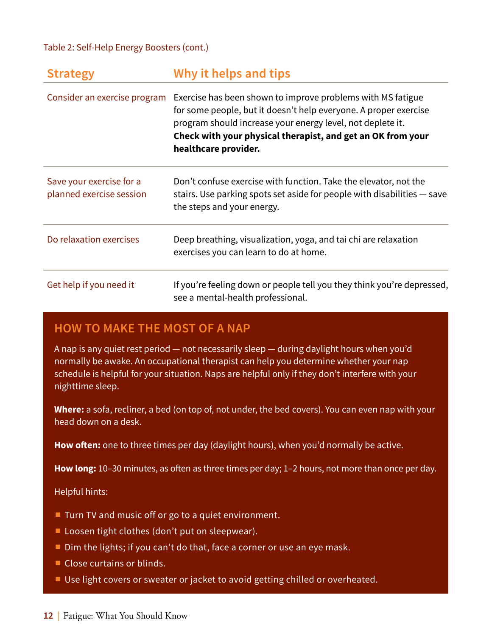#### Table 2: Self-Help Energy Boosters (cont.)

| <b>Strategy</b>                                      | Why it helps and tips                                                                                                                                                                                                                                                                |  |
|------------------------------------------------------|--------------------------------------------------------------------------------------------------------------------------------------------------------------------------------------------------------------------------------------------------------------------------------------|--|
| Consider an exercise program                         | Exercise has been shown to improve problems with MS fatigue<br>for some people, but it doesn't help everyone. A proper exercise<br>program should increase your energy level, not deplete it.<br>Check with your physical therapist, and get an OK from your<br>healthcare provider. |  |
| Save your exercise for a<br>planned exercise session | Don't confuse exercise with function. Take the elevator, not the<br>stairs. Use parking spots set aside for people with disabilities – save<br>the steps and your energy.                                                                                                            |  |
| Do relaxation exercises                              | Deep breathing, visualization, yoga, and tai chi are relaxation<br>exercises you can learn to do at home.                                                                                                                                                                            |  |
| Get help if you need it                              | If you're feeling down or people tell you they think you're depressed,<br>see a mental-health professional.                                                                                                                                                                          |  |

### <span id="page-15-0"></span>**HOW TO MAKE THE MOST OF A NAP**

A nap is any quiet rest period — not necessarily sleep — during daylight hours when you'd normally be awake. An occupational therapist can help you determine whether your nap schedule is helpful for your situation. Naps are helpful only if they don't interfere with your nighttime sleep.

**Where:** a sofa, recliner, a bed (on top of, not under, the bed covers). You can even nap with your head down on a desk.

**How often:** one to three times per day (daylight hours), when you'd normally be active.

**How long:** 10–30 minutes, as often as three times per day; 1–2 hours, not more than once per day.

#### Helpful hints:

- Turn TV and music off or go to a quiet environment.
- Loosen tight clothes (don't put on sleepwear).
- Dim the lights; if you can't do that, face a corner or use an eye mask.
- Close curtains or blinds.
- Use light covers or sweater or jacket to avoid getting chilled or overheated.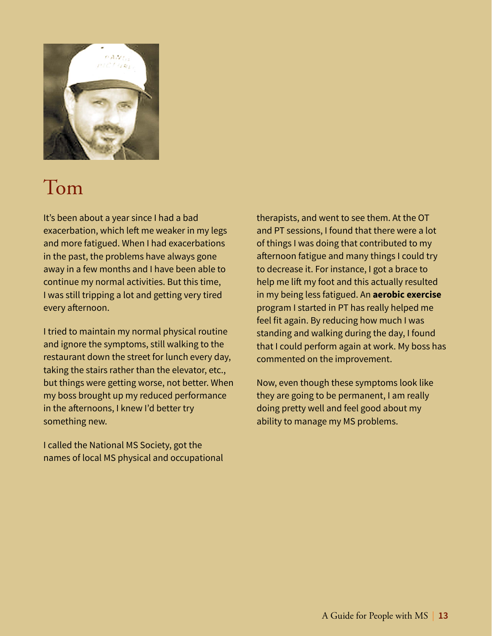

## Tom

It's been about a year since I had a bad exacerbation, which left me weaker in my legs and more fatigued. When I had exacerbations in the past, the problems have always gone away in a few months and I have been able to continue my normal activities. But this time, I was still tripping a lot and getting very tired every afternoon.

I tried to maintain my normal physical routine and ignore the symptoms, still walking to the restaurant down the street for lunch every day, taking the stairs rather than the elevator, etc., but things were getting worse, not better. When my boss brought up my reduced performance in the afternoons, I knew I'd better try something new.

I called the National MS Society, got the names of local MS physical and occupational therapists, and went to see them. At the OT and PT sessions, I found that there were a lot of things I was doing that contributed to my afternoon fatigue and many things I could try to decrease it. For instance, I got a brace to help me lift my foot and this actually resulted in my being less fatigued. An **aerobic exercise** program I started in PT has really helped me feel fit again. By reducing how much I was standing and walking during the day, I found that I could perform again at work. My boss has commented on the improvement.

Now, even though these symptoms look like they are going to be permanent, I am really doing pretty well and feel good about my ability to manage my MS problems.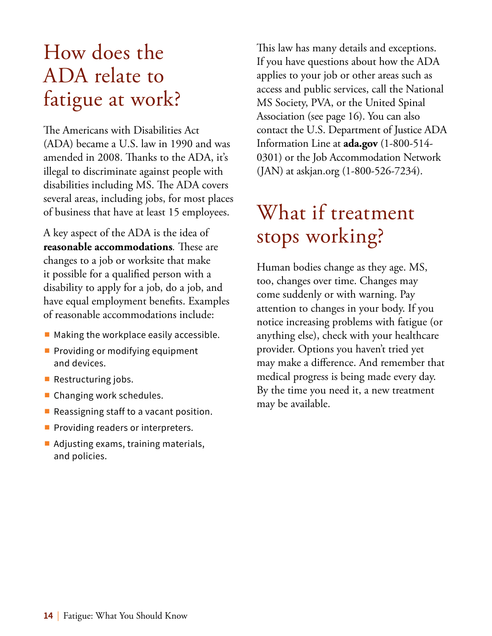# <span id="page-17-0"></span>How does the ADA relate to fatigue at work?

The Americans with Disabilities Act (ADA) became a U.S. law in 1990 and was amended in 2008. Thanks to the ADA, it's illegal to discriminate against people with disabilities including MS. The ADA covers several areas, including jobs, for most places of business that have at least 15 employees.

A key aspect of the ADA is the idea of **reasonable accommodations***.* These are changes to a job or worksite that make it possible for a qualified person with a disability to apply for a job, do a job, and have equal employment benefits. Examples of reasonable accommodations include:

- Making the workplace easily accessible.
- Providing or modifying equipment and devices.
- Restructuring jobs.
- Changing work schedules.
- Reassigning staff to a vacant position.
- Providing readers or interpreters.
- Adjusting exams, training materials, and policies.

This law has many details and exceptions. If you have questions about how the ADA applies to your job or other areas such as access and public services, call the National MS Society, PVA, or the United Spinal Association (see [page 16\)](#page-19-2). You can also contact the U.S. Department of Justice ADA Information Line at **ada.gov** (1-800-514- 0301) or the Job Accommodation Network (JAN) at askjan.org (1-800-526-7234).

# What if treatment stops working?

Human bodies change as they age. MS, too, changes over time. Changes may come suddenly or with warning. Pay attention to changes in your body. If you notice increasing problems with fatigue (or anything else), check with your healthcare provider. Options you haven't tried yet may make a difference. And remember that medical progress is being made every day. By the time you need it, a new treatment may be available.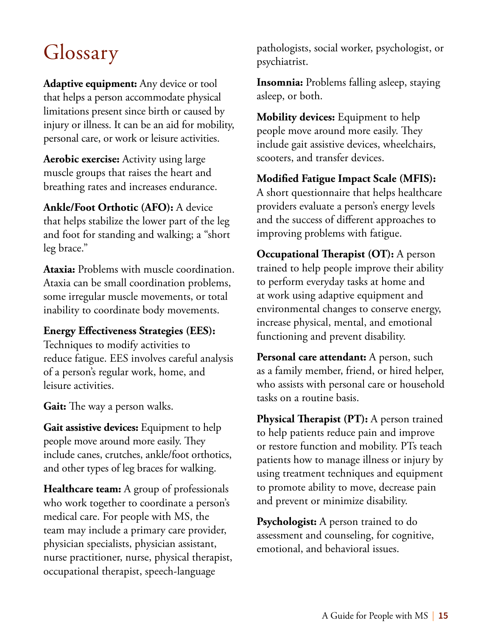# <span id="page-18-0"></span>Glossary

**Adaptive equipment:** Any device or tool that helps a person accommodate physical limitations present since birth or caused by injury or illness. It can be an aid for mobility, personal care, or work or leisure activities.

**Aerobic exercise:** Activity using large muscle groups that raises the heart and breathing rates and increases endurance.

**Ankle/Foot Orthotic (AFO):** A device that helps stabilize the lower part of the leg and foot for standing and walking; a "short leg brace."

**Ataxia:** Problems with muscle coordination. Ataxia can be small coordination problems, some irregular muscle movements, or total inability to coordinate body movements.

#### **Energy Effectiveness Strategies (EES):**

Techniques to modify activities to reduce fatigue. EES involves careful analysis of a person's regular work, home, and leisure activities.

**Gait:** The way a person walks.

Gait assistive devices: Equipment to help people move around more easily. They include canes, crutches, ankle/foot orthotics, and other types of leg braces for walking.

**Healthcare team:** A group of professionals who work together to coordinate a person's medical care. For people with MS, the team may include a primary care provider, physician specialists, physician assistant, nurse practitioner, nurse, physical therapist, occupational therapist, speech-language

pathologists, social worker, psychologist, or psychiatrist.

**Insomnia:** Problems falling asleep, staying asleep, or both.

**Mobility devices:** Equipment to help people move around more easily. They include gait assistive devices, wheelchairs, scooters, and transfer devices.

**Modified Fatigue Impact Scale (MFIS):**  A short questionnaire that helps healthcare providers evaluate a person's energy levels and the success of different approaches to improving problems with fatigue.

**Occupational Therapist (OT):** A person trained to help people improve their ability to perform everyday tasks at home and at work using adaptive equipment and environmental changes to conserve energy, increase physical, mental, and emotional functioning and prevent disability.

**Personal care attendant:** A person, such as a family member, friend, or hired helper, who assists with personal care or household tasks on a routine basis.

**Physical Therapist (PT):** A person trained to help patients reduce pain and improve or restore function and mobility. PTs teach patients how to manage illness or injury by using treatment techniques and equipment to promote ability to move, decrease pain and prevent or minimize disability.

**Psychologist:** A person trained to do assessment and counseling, for cognitive, emotional, and behavioral issues.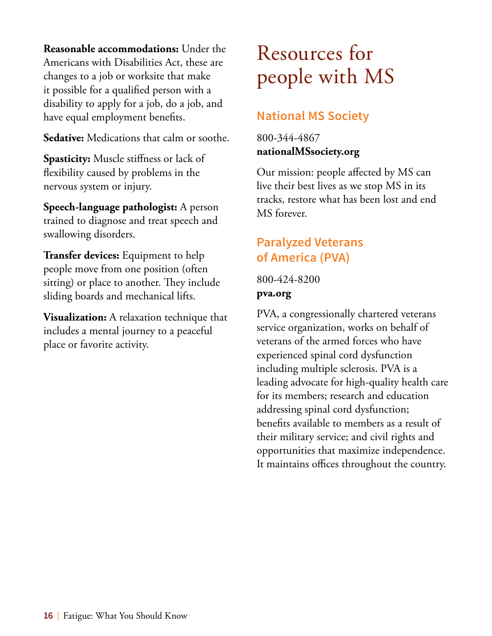<span id="page-19-0"></span>**Reasonable accommodations:** Under the Americans with Disabilities Act, these are changes to a job or worksite that make it possible for a qualified person with a disability to apply for a job, do a job, and have equal employment benefits.

**Sedative:** Medications that calm or soothe.

**Spasticity:** Muscle stiffness or lack of flexibility caused by problems in the nervous system or injury.

**Speech-language pathologist:** A person trained to diagnose and treat speech and swallowing disorders.

**Transfer devices:** Equipment to help people move from one position (often sitting) or place to another. They include sliding boards and mechanical lifts.

**Visualization:** A relaxation technique that includes a mental journey to a peaceful place or favorite activity.

# <span id="page-19-1"></span>Resources for people with MS

## **National MS Society**

800-344-4867 **nationalMSsociety.org**

Our mission: people affected by MS can live their best lives as we stop MS in its tracks, restore what has been lost and end MS forever.

### **Paralyzed Veterans of America (PVA)**

800-424-8200 **pva.org**

<span id="page-19-2"></span>PVA, a congressionally chartered veterans service organization, works on behalf of veterans of the armed forces who have experienced spinal cord dysfunction including multiple sclerosis. PVA is a leading advocate for high-quality health care for its members; research and education addressing spinal cord dysfunction; benefits available to members as a result of their military service; and civil rights and opportunities that maximize independence. It maintains offices throughout the country.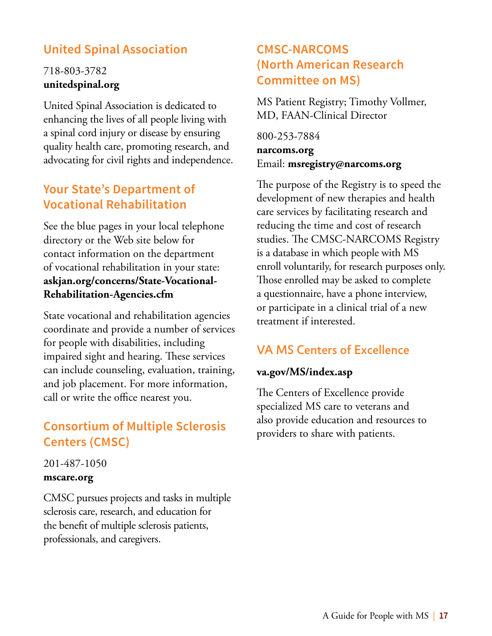### **United Spinal Association**

### 718-803-3782 **unitedspinal.org**

United Spinal Association is dedicated to enhancing the lives of all people living with a spinal cord injury or disease by ensuring quality health care, promoting research, and advocating for civil rights and independence.

### **Your State's Department of Vocational Rehabilitation**

See the blue pages in your local telephone directory or the Web site below for contact information on the department of vocational rehabilitation in your state: **askjan.org/concerns/State-Vocational-Rehabilitation-Agencies.cfm**

State vocational and rehabilitation agencies coordinate and provide a number of services for people with disabilities, including impaired sight and hearing. These services can include counseling, evaluation, training, and job placement. For more information, call or write the office nearest you.

### **Consortium of Multiple Sclerosis Centers (CMSC)**

#### 201-487-1050 **mscare.org**

CMSC pursues projects and tasks in multiple sclerosis care, research, and education for the benefit of multiple sclerosis patients, professionals, and caregivers.

### **CMSC-NARCOMS (North American Research Committee on MS)**

MS Patient Registry; Timothy Vollmer, MD, FAAN-Clinical Director

800-253-7884 **narcoms.org** Email: **msregistry@narcoms.org**

The purpose of the Registry is to speed the development of new therapies and health care services by facilitating research and reducing the time and cost of research studies. The CMSC-NARCOMS Registry is a database in which people with MS enroll voluntarily, for research purposes only. Those enrolled may be asked to complete a questionnaire, have a phone interview, or participate in a clinical trial of a new treatment if interested.

### VA MS Centers of Excellence

#### **va.gov/MS/index.asp**

The Centers of Excellence provide specialized MS care to veterans and also provide education and resources to providers to share with patients.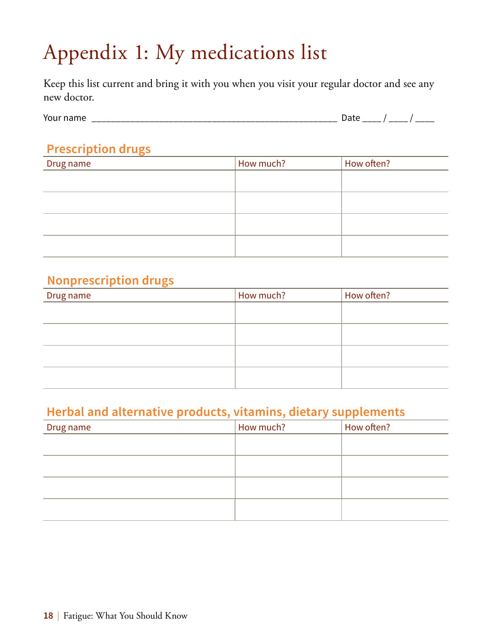# <span id="page-21-0"></span>Appendix 1: My medications list

Keep this list current and bring it with you when you visit your regular doctor and see any new doctor.

| You.<br>max |                 |       |
|-------------|-----------------|-------|
| טוווע       | <br>_<br>______ | _____ |

### **Prescription drugs**

| Drug name | How much? | How often? |
|-----------|-----------|------------|
|           |           |            |
|           |           |            |
|           |           |            |
|           |           |            |
|           |           |            |
|           |           |            |

### **Nonprescription drugs**

| Drug name | How much? | How often? |
|-----------|-----------|------------|
|           |           |            |
|           |           |            |
|           |           |            |
|           |           |            |
|           |           |            |

### **Herbal and alternative products, vitamins, dietary supplements**

| Drug name | How much? | How often? |
|-----------|-----------|------------|
|           |           |            |
|           |           |            |
|           |           |            |
|           |           |            |
|           |           |            |
|           |           |            |
|           |           |            |
|           |           |            |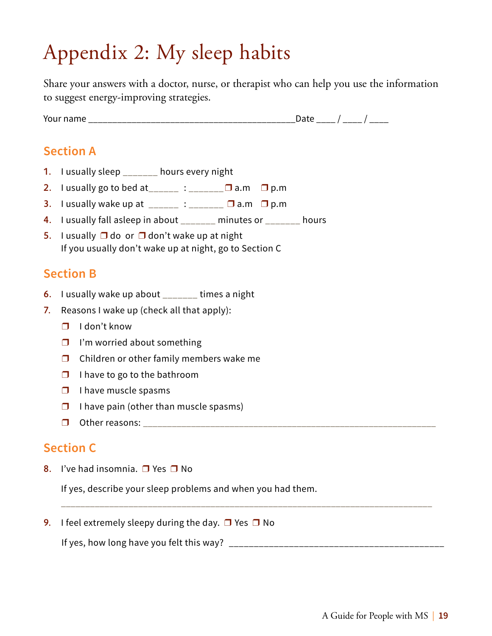# <span id="page-22-0"></span>Appendix 2: My sleep habits

Share your answers with a doctor, nurse, or therapist who can help you use the information to suggest energy-improving strategies.

Your name \_\_\_\_\_\_\_\_\_\_\_\_\_\_\_\_\_\_\_\_\_\_\_\_\_\_\_\_\_\_\_\_\_\_\_\_\_\_\_\_\_\_\_Date \_\_\_\_ / \_\_\_\_ / \_\_\_\_

### **Section A**

- 1. I usually sleep \_\_\_\_\_\_\_ hours every night
- 2. I usually go to bed at \_\_\_\_\_ : \_\_\_\_\_\_\_  $\Box$  a.m  $\Box$  p.m
- 3. I usually wake up at  $\sum_{n=1}^{\infty}$  :  $\sum_{n=1}^{\infty}$  a.m  $\Box$  p.m
- 4. I usually fall asleep in about \_\_\_\_\_\_\_ minutes or \_\_\_\_\_\_\_ hours
- 5. I usually  $\Box$  do or  $\Box$  don't wake up at night If you usually don't wake up at night, go to Section C

### **Section B**

- 6. I usually wake up about \_\_\_\_\_\_\_ times a night
- 7. Reasons I wake up (check all that apply):
	- ❒ I don't know
	- ❒ I'm worried about something
	- ❒ Children or other family members wake me
	- $\Box$  I have to go to the bathroom
	- $\Box$  I have muscle spasms
	- ❒ I have pain (other than muscle spasms)
	- ❒ Other reasons: \_\_\_\_\_\_\_\_\_\_\_\_\_\_\_\_\_\_\_\_\_\_\_\_\_\_\_\_\_\_\_\_\_\_\_\_\_\_\_\_\_\_\_\_\_\_\_\_\_\_\_\_\_\_\_\_\_\_\_\_\_

### **Section C**

8. I've had insomnia.  $\Box$  Yes  $\Box$  No

If yes, describe your sleep problems and when you had them.

9. I feel extremely sleepy during the day.  $\Box$  Yes  $\Box$  No

If yes, how long have you felt this way? \_\_\_\_\_\_\_\_\_\_\_\_\_\_\_\_\_\_\_\_\_\_\_\_\_\_\_\_\_\_\_\_\_\_\_\_\_\_\_\_\_\_\_

\_\_\_\_\_\_\_\_\_\_\_\_\_\_\_\_\_\_\_\_\_\_\_\_\_\_\_\_\_\_\_\_\_\_\_\_\_\_\_\_\_\_\_\_\_\_\_\_\_\_\_\_\_\_\_\_\_\_\_\_\_\_\_\_\_\_\_\_\_\_\_\_\_\_\_\_\_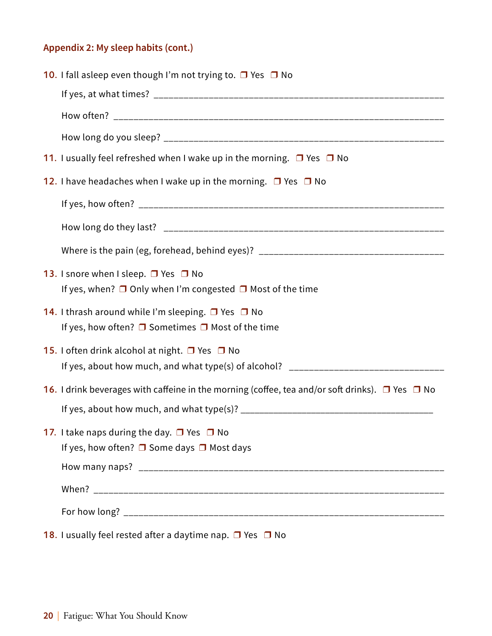### **Appendix 2: My sleep habits (cont.)**

| <b>10.</b> I fall asleep even though I'm not trying to. $\Box$ Yes $\Box$ No                                                                         |
|------------------------------------------------------------------------------------------------------------------------------------------------------|
|                                                                                                                                                      |
|                                                                                                                                                      |
|                                                                                                                                                      |
| 11. I usually feel refreshed when I wake up in the morning. $\Box$ Yes $\Box$ No                                                                     |
| 12. I have headaches when I wake up in the morning. $\Box$ Yes $\Box$ No                                                                             |
|                                                                                                                                                      |
|                                                                                                                                                      |
| Where is the pain (eg, forehead, behind eyes)? _________________________________                                                                     |
| 13. I snore when I sleep. $\Box$ Yes $\Box$ No<br>If yes, when? $\Box$ Only when I'm congested $\Box$ Most of the time                               |
| <b>14.</b> I thrash around while I'm sleeping. $\Box$ Yes $\Box$ No<br>If yes, how often? $\Box$ Sometimes $\Box$ Most of the time                   |
| <b>15.</b> I often drink alcohol at night. $\Box$ Yes $\Box$ No<br>If yes, about how much, and what type(s) of alcohol? ____________________________ |
| 16. I drink beverages with caffeine in the morning (coffee, tea and/or soft drinks). $\Box$ Yes $\Box$ No                                            |
|                                                                                                                                                      |
| 17. I take naps during the day. $\Box$ Yes $\Box$ No<br>If yes, how often? $\square$ Some days $\square$ Most days                                   |
|                                                                                                                                                      |
|                                                                                                                                                      |
|                                                                                                                                                      |
| 18. I usually feel rested after a daytime nap. □ Yes □ No                                                                                            |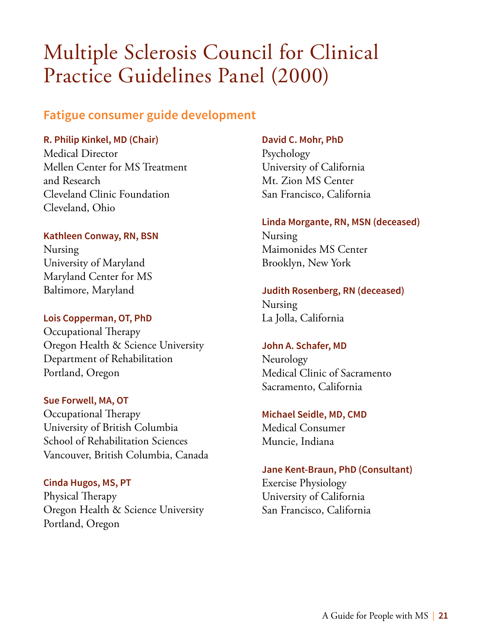# <span id="page-24-0"></span>Multiple Sclerosis Council for Clinical Practice Guidelines Panel (2000)

### **Fatigue consumer guide development**

#### **R. Philip Kinkel, MD (Chair)**

Medical Director Mellen Center for MS Treatment and Research Cleveland Clinic Foundation Cleveland, Ohio

#### **Kathleen Conway, RN, BSN**

Nursing University of Maryland Maryland Center for MS Baltimore, Maryland

#### **Lois Copperman, OT, PhD**

Occupational Therapy Oregon Health & Science University Department of Rehabilitation Portland, Oregon

#### **Sue Forwell, MA, OT**

Occupational Therapy University of British Columbia School of Rehabilitation Sciences Vancouver, British Columbia, Canada

**Cinda Hugos, MS, PT** Physical Therapy Oregon Health & Science University Portland, Oregon

#### **David C. Mohr, PhD**

Psychology University of California Mt. Zion MS Center San Francisco, California

#### **Linda Morgante, RN, MSN (deceased)**

Nursing Maimonides MS Center Brooklyn, New York

#### **Judith Rosenberg, RN (deceased)**

Nursing La Jolla, California

#### **John A. Schafer, MD**

Neurology Medical Clinic of Sacramento Sacramento, California

#### **Michael Seidle, MD, CMD**

Medical Consumer Muncie, Indiana

#### **Jane Kent-Braun, PhD (Consultant)**

Exercise Physiology University of California San Francisco, California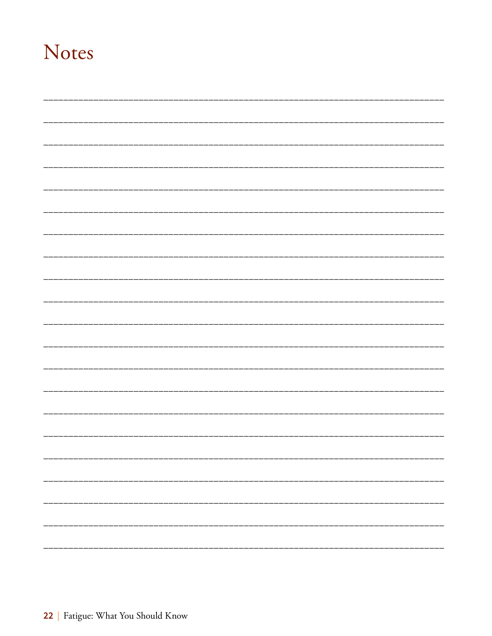## Notes

| _____________           |
|-------------------------|
|                         |
|                         |
|                         |
| _______________________ |
|                         |
|                         |
|                         |
|                         |
|                         |
|                         |
|                         |
|                         |
| н.                      |
|                         |
|                         |
|                         |
|                         |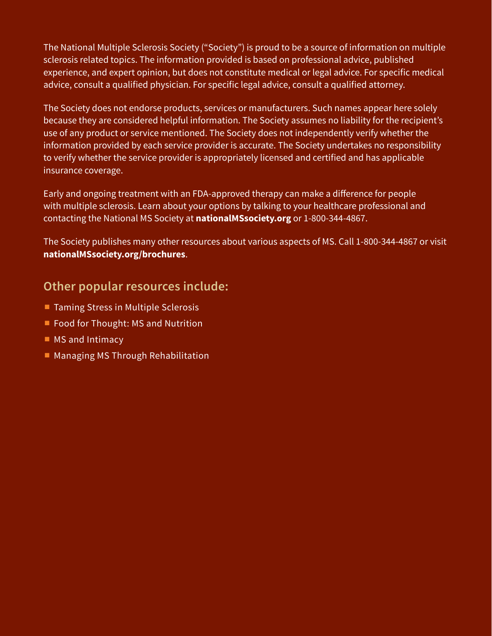The National Multiple Sclerosis Society ("Society") is proud to be a source of information on multiple sclerosis related topics. The information provided is based on professional advice, published experience, and expert opinion, but does not constitute medical or legal advice. For specific medical advice, consult a qualified physician. For specific legal advice, consult a qualified attorney.

The Society does not endorse products, services or manufacturers. Such names appear here solely because they are considered helpful information. The Society assumes no liability for the recipient's use of any product or service mentioned. The Society does not independently verify whether the information provided by each service provider is accurate. The Society undertakes no responsibility to verify whether the service provider is appropriately licensed and certified and has applicable insurance coverage.

Early and ongoing treatment with an FDA-approved therapy can make a difference for people with multiple sclerosis. Learn about your options by talking to your healthcare professional and contacting the National MS Society at **nationalMSsociety.org** or 1-800-344-4867.

The Society publishes many other resources about various aspects of MS. Call 1-800-344-4867 or visit **nationalMSsociety.org/brochures**.

### **Other popular resources include:**

- Taming Stress in Multiple Sclerosis
- Food for Thought: MS and Nutrition
- MS and Intimacy
- Managing MS Through Rehabilitation